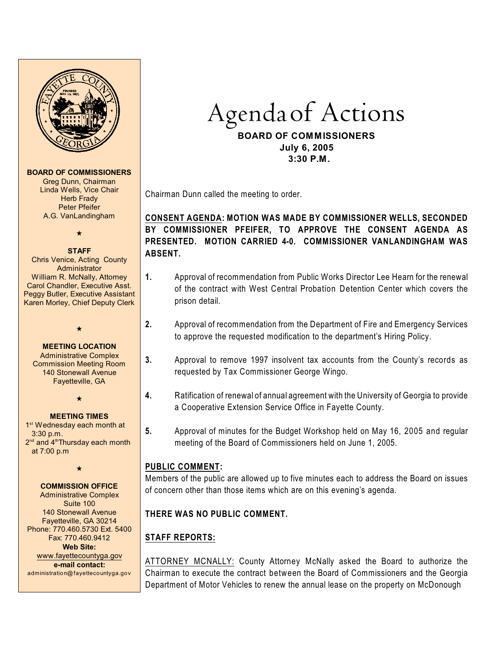

#### **BOARD OF COMMISSIONERS**

Greg Dunn, Chairman Linda Wells, Vice Chair Herb Frady Peter Pfeifer A.G. VanLandingham

### $\star$

#### **STAFF**

Chris Venice, Acting County Administrator William R. McNally, Attorney Carol Chandler, Executive Asst. Peggy Butler, Executive Assistant Karen Morley, Chief Deputy Clerk

#### **MEETING LOCATION**

 $\star$ 

Administrative Complex Commission Meeting Room 140 Stonewall Avenue Fayetteville, GA

 $\star$ 

#### **MEETING TIMES**

1<sup>st</sup> Wednesday each month at 3:30 p.m.  $2<sup>nd</sup>$  and  $4<sup>th</sup>$ Thursday each month at 7:00 p.m

 $\star$ 

### **COMMISSION OFFICE**

Administrative Complex Suite 100 140 Stonewall Avenue Fayetteville, GA 30214 Phone: 770.460.5730 Ext. 5400 Fax: 770.460.9412 **Web Site:** [www.fayettecountyga.gov](http://www.admin.co.fayette.ga.us) **e-mail contact:** administration@fayettecountyga.gov

Agenda*of Actions*

### **BOARD OF COMMISSIONERS July 6, 2005 3:30 P.M.**

Chairman Dunn called the meeting to order.

## **CONSENT AGENDA: MOTION WAS MADE BY COMMISSIONER WELLS, SECONDED BY COMMISSIONER PFEIFER, TO APPROVE THE CONSENT AGENDA AS PRESENTED. MOTION CARRIED 4-0. COMMISSIONER VANLANDINGHAM WAS ABSENT.**

- **1.** Approval of recommendation from Public Works Director Lee Hearn for the renewal of the contract with West Central Probation Detention Center which covers the prison detail.
- **2.** Approval of recommendation from the Department of Fire and Emergency Services to approve the requested modification to the department's Hiring Policy.
- **3.** Approval to remove 1997 insolvent tax accounts from the County's records as requested by Tax Commissioner George Wingo.
- **4.** Ratification of renewal of annual agreement with the University of Georgia to provide a Cooperative Extension Service Office in Fayette County.
- **5.** Approval of minutes for the Budget Workshop held on May 16, 2005 and regular meeting of the Board of Commissioners held on June 1, 2005.

## **PUBLIC COMMENT:**

Members of the public are allowed up to five minutes each to address the Board on issues of concern other than those items which are on this evening's agenda.

## **THERE WAS NO PUBLIC COMMENT.**

# **STAFF REPORTS:**

ATTORNEY MCNALLY: County Attorney McNally asked the Board to authorize the Chairman to execute the contract between the Board of Commissioners and the Georgia Department of Motor Vehicles to renew the annual lease on the property on McDonough